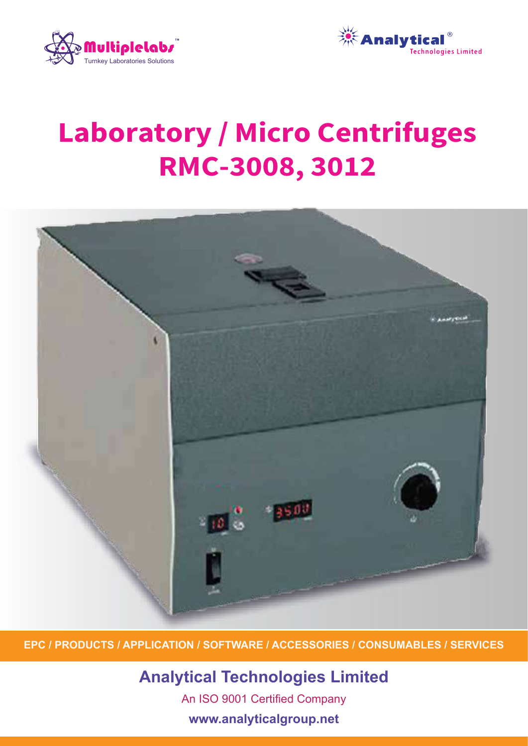



# **Laboratory / Micro Centrifuges** RMC-3008, 3012



**EPC / PRODUCTS / APPLICATION / SOFTWARE / ACCESSORIES / CONSUMABLES / SERVICES**

**Analytical Technologies Limited** An ISO 9001 Certified Company **www.analyticalgroup.net**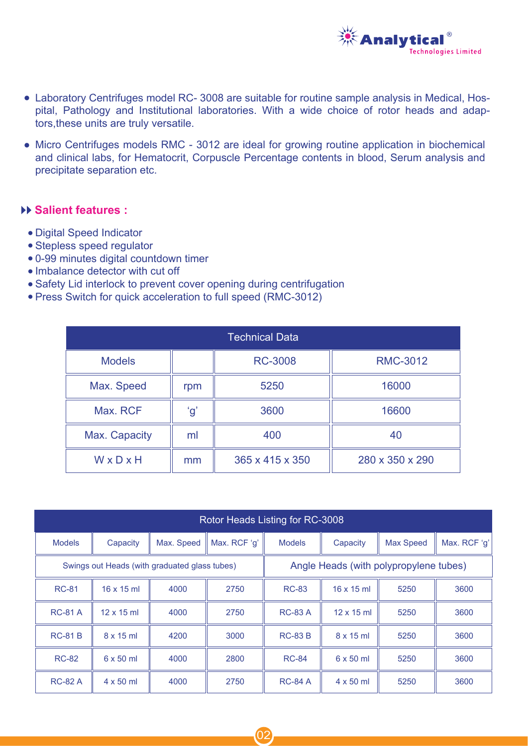

- Laboratory Centrifuges model RC- 3008 are suitable for routine sample analysis in Medical, Hospital, Pathology and Institutional laboratories. With a wide choice of rotor heads and adaptors,these units are truly versatile.
- Micro Centrifuges models RMC 3012 are ideal for growing routine application in biochemical and clinical labs, for Hematocrit, Corpuscle Percentage contents in blood, Serum analysis and precipitate separation etc.

#### **Salient features :**

- Digital Speed Indicator ●
- Stepless speed regulator ●
- 0-99 minutes digital countdown timer ●
- Imbalance detector with cut off
- Safety Lid interlock to prevent cover opening during centrifugation
- Press Switch for quick acceleration to full speed (RMC-3012)

| <b>Technical Data</b> |     |                 |                 |  |  |  |  |
|-----------------------|-----|-----------------|-----------------|--|--|--|--|
| <b>Models</b>         |     | <b>RC-3008</b>  | <b>RMC-3012</b> |  |  |  |  |
| Max. Speed            | rpm | 5250            | 16000           |  |  |  |  |
| Max. RCF              | ʻgʻ | 3600            | 16600           |  |  |  |  |
| Max. Capacity         | ml  | 400             | 40              |  |  |  |  |
| WxDxH                 | mm  | 365 x 415 x 350 | 280 x 350 x 290 |  |  |  |  |

| Rotor Heads Listing for RC-3008 |                                               |            |              |                                        |                   |                  |              |  |
|---------------------------------|-----------------------------------------------|------------|--------------|----------------------------------------|-------------------|------------------|--------------|--|
| <b>Models</b>                   | Capacity                                      | Max. Speed | Max. RCF 'g' | <b>Models</b>                          | Capacity          | <b>Max Speed</b> | Max. RCF 'g' |  |
|                                 | Swings out Heads (with graduated glass tubes) |            |              | Angle Heads (with polypropylene tubes) |                   |                  |              |  |
| <b>RC-81</b>                    | $16 \times 15$ ml                             | 4000       | 2750         | RC-83                                  | $16 \times 15$ ml | 5250             | 3600         |  |
| <b>RC-81 A</b>                  | $12 \times 15$ ml                             | 4000       | 2750         | <b>RC-83 A</b>                         | $12 \times 15$ ml | 5250             | 3600         |  |
| <b>RC-81 B</b>                  | $8 \times 15$ ml                              | 4200       | 3000         | <b>RC-83 B</b>                         | $8 \times 15$ ml  | 5250             | 3600         |  |
| <b>RC-82</b>                    | $6 \times 50$ ml                              | 4000       | 2800         | <b>RC-84</b>                           | $6 \times 50$ ml  | 5250             | 3600         |  |
| <b>RC-82 A</b>                  | $4 \times 50$ ml                              | 4000       | 2750         | <b>RC-84 A</b>                         | $4 \times 50$ ml  | 5250             | 3600         |  |

02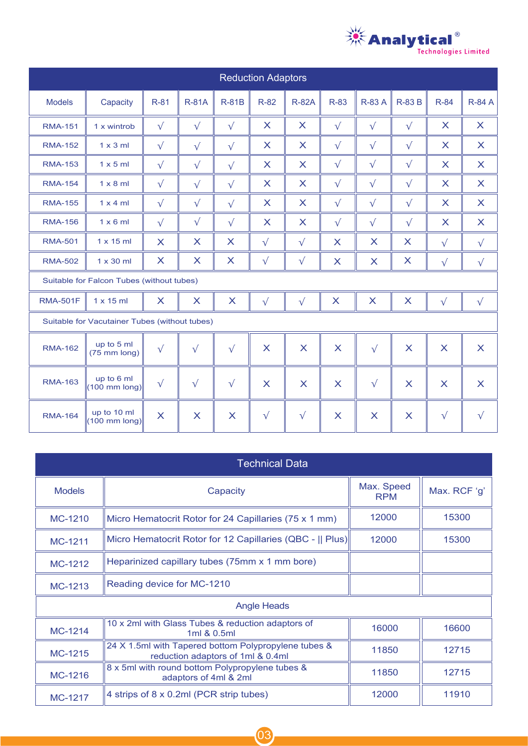

| <b>Reduction Adaptors</b>                 |                                               |                         |              |                           |                           |                           |                         |                           |                           |                         |                           |
|-------------------------------------------|-----------------------------------------------|-------------------------|--------------|---------------------------|---------------------------|---------------------------|-------------------------|---------------------------|---------------------------|-------------------------|---------------------------|
| <b>Models</b>                             | Capacity                                      | R-81                    | <b>R-81A</b> | <b>R-81B</b>              | <b>R-82</b>               | <b>R-82A</b>              | R-83                    | <b>R-83 A</b>             | <b>R-83 B</b>             | R-84                    | <b>R-84 A</b>             |
| <b>RMA-151</b>                            | 1 x wintrob                                   | $\sqrt{}$               | $\sqrt{}$    | $\sqrt{}$                 | X                         | $\boldsymbol{\mathsf{X}}$ | $\sqrt{}$               | $\sqrt{}$                 | $\sqrt{}$                 | X                       | X                         |
| <b>RMA-152</b>                            | $1 \times 3$ ml                               | $\sqrt{}$               | $\sqrt{}$    | $\sqrt{}$                 | X                         | $\boldsymbol{\mathsf{X}}$ | $\sqrt{}$               | $\sqrt{}$                 | $\sqrt{}$                 | X                       | $\mathsf{X}$              |
| <b>RMA-153</b>                            | $1 \times 5$ ml                               | $\sqrt{}$               | $\sqrt{}$    | $\sqrt{}$                 | X                         | $\boldsymbol{\mathsf{X}}$ | $\sqrt{}$               | $\sqrt{}$                 | $\sqrt{}$                 | X                       | $\mathsf{X}$              |
| <b>RMA-154</b>                            | $1 \times 8$ ml                               | $\sqrt{}$               | $\sqrt{}$    | $\sqrt{}$                 | $\boldsymbol{\mathsf{X}}$ | $\boldsymbol{\mathsf{X}}$ | $\sqrt{}$               | $\sqrt{}$                 | $\sqrt{}$                 | $\mathsf{X}$            | $\boldsymbol{\mathsf{X}}$ |
| <b>RMA-155</b>                            | $1 \times 4$ ml                               | $\sqrt{}$               | $\sqrt{}$    | $\sqrt{}$                 | $\boldsymbol{\mathsf{X}}$ | $\boldsymbol{\mathsf{X}}$ | $\sqrt{}$               | $\sqrt{}$                 | $\sqrt{}$                 | $\mathsf{X}$            | $\boldsymbol{\mathsf{X}}$ |
| <b>RMA-156</b>                            | $1 \times 6$ ml                               | $\sqrt{}$               | $\sqrt{}$    | $\sqrt{}$                 | $\boldsymbol{\mathsf{X}}$ | $\boldsymbol{\mathsf{X}}$ | $\sqrt{}$               | $\sqrt{}$                 | $\sqrt{}$                 | $\mathsf{X}$            | $\boldsymbol{\mathsf{X}}$ |
| <b>RMA-501</b>                            | $1 \times 15$ ml                              | $\overline{\mathsf{X}}$ | X            | X                         | $\sqrt{}$                 | $\sqrt{}$                 | $\overline{\mathsf{X}}$ | X                         | X                         | $\sqrt{}$               | $\sqrt{}$                 |
| <b>RMA-502</b>                            | $1 \times 30$ ml                              | X                       | X            | X                         | $\sqrt{}$                 | $\sqrt{}$                 | $\mathsf{X}$            | $\boldsymbol{\mathsf{X}}$ | X                         | $\sqrt{}$               | $\sqrt{}$                 |
| Suitable for Falcon Tubes (without tubes) |                                               |                         |              |                           |                           |                           |                         |                           |                           |                         |                           |
| <b>RMA-501F</b>                           | $1 \times 15$ ml                              | $\mathsf{X}$            | X            | X                         | $\sqrt{}$                 | $\sqrt{}$                 | $\mathsf{X}$            | $\boldsymbol{\mathsf{X}}$ | $\boldsymbol{\mathsf{X}}$ | $\sqrt{}$               | $\sqrt{}$                 |
|                                           | Suitable for Vacutainer Tubes (without tubes) |                         |              |                           |                           |                           |                         |                           |                           |                         |                           |
| <b>RMA-162</b>                            | up to 5 ml<br>$(75$ mm long)                  | $\sqrt{}$               | $\sqrt{}$    | $\sqrt{ }$                | $\overline{\mathsf{X}}$   | $\overline{\mathsf{X}}$   | $\overline{\mathsf{X}}$ | $\sqrt{}$                 | $\overline{\mathsf{X}}$   | $\overline{\mathsf{X}}$ | X                         |
| <b>RMA-163</b>                            | up to 6 ml<br>$(100 \text{ mm long})$         | $\sqrt{}$               | $\sqrt{}$    | $\sqrt{}$                 | $\overline{\mathsf{X}}$   | X                         | $\overline{\mathsf{X}}$ | $\sqrt{}$                 | $\mathsf{X}$              | $\overline{\mathsf{X}}$ | X                         |
| <b>RMA-164</b>                            | up to 10 ml<br>$(100 \text{ mm long})$        | $\overline{\mathsf{X}}$ | $\mathsf{X}$ | $\boldsymbol{\mathsf{X}}$ | $\sqrt{}$                 | $\sqrt{}$                 | X                       | X                         | X                         | $\sqrt{}$               | $\sqrt{}$                 |

| <b>Technical Data</b> |                                                                                           |                          |              |  |  |  |  |
|-----------------------|-------------------------------------------------------------------------------------------|--------------------------|--------------|--|--|--|--|
| <b>Models</b>         | Capacity                                                                                  | Max. Speed<br><b>RPM</b> | Max. RCF 'g' |  |  |  |  |
| MC-1210               | Micro Hematocrit Rotor for 24 Capillaries (75 x 1 mm)                                     | 12000                    | 15300        |  |  |  |  |
| MC-1211               | Micro Hematocrit Rotor for 12 Capillaries (QBC -    Plus)                                 | 12000                    | 15300        |  |  |  |  |
| MC-1212               | Heparinized capillary tubes (75mm x 1 mm bore)                                            |                          |              |  |  |  |  |
| MC-1213               | Reading device for MC-1210                                                                |                          |              |  |  |  |  |
| <b>Angle Heads</b>    |                                                                                           |                          |              |  |  |  |  |
| MC-1214               | 10 x 2ml with Glass Tubes & reduction adaptors of<br>1ml & 0.5ml                          | 16000                    | 16600        |  |  |  |  |
| MC-1215               | 24 X 1.5ml with Tapered bottom Polypropylene tubes &<br>reduction adaptors of 1ml & 0.4ml | 11850                    | 12715        |  |  |  |  |
| MC-1216               | 8 x 5ml with round bottom Polypropylene tubes &<br>adaptors of 4ml & 2ml                  | 11850                    | 12715        |  |  |  |  |
| MC-1217               | 4 strips of 8 x 0.2ml (PCR strip tubes)                                                   | 12000                    | 11910        |  |  |  |  |

03